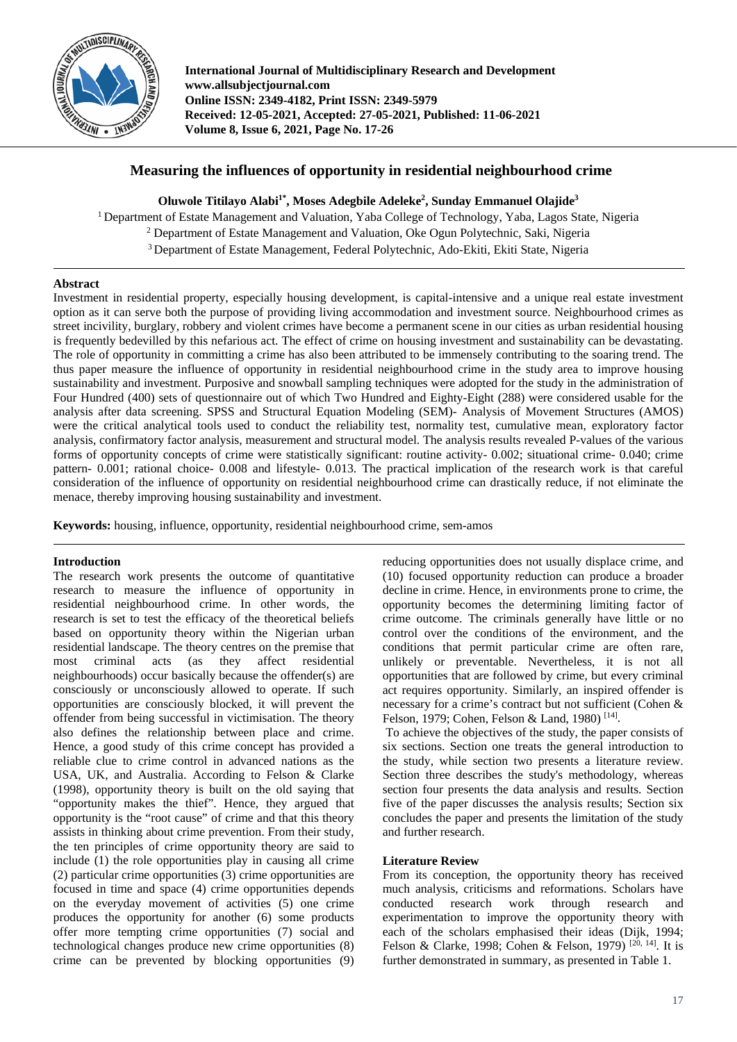

**International Journal of Multidisciplinary Research and Development www.allsubjectjournal.com Online ISSN: 2349-4182, Print ISSN: 2349-5979 Received: 12-05-2021, Accepted: 27-05-2021, Published: 11-06-2021 Volume 8, Issue 6, 2021, Page No. 17-26**

# **Measuring the influences of opportunity in residential neighbourhood crime**

**Oluwole Titilayo Alabi1\* , Moses Adegbile Adeleke2 , Sunday Emmanuel Olajide3**

<sup>1</sup> Department of Estate Management and Valuation, Yaba College of Technology, Yaba, Lagos State, Nigeria <sup>2</sup> Department of Estate Management and Valuation, Oke Ogun Polytechnic, Saki, Nigeria <sup>3</sup> Department of Estate Management, Federal Polytechnic, Ado-Ekiti, Ekiti State, Nigeria

# **Abstract**

Investment in residential property, especially housing development, is capital-intensive and a unique real estate investment option as it can serve both the purpose of providing living accommodation and investment source. Neighbourhood crimes as street incivility, burglary, robbery and violent crimes have become a permanent scene in our cities as urban residential housing is frequently bedevilled by this nefarious act. The effect of crime on housing investment and sustainability can be devastating. The role of opportunity in committing a crime has also been attributed to be immensely contributing to the soaring trend. The thus paper measure the influence of opportunity in residential neighbourhood crime in the study area to improve housing sustainability and investment. Purposive and snowball sampling techniques were adopted for the study in the administration of Four Hundred (400) sets of questionnaire out of which Two Hundred and Eighty-Eight (288) were considered usable for the analysis after data screening. SPSS and Structural Equation Modeling (SEM)- Analysis of Movement Structures (AMOS) were the critical analytical tools used to conduct the reliability test, normality test, cumulative mean, exploratory factor analysis, confirmatory factor analysis, measurement and structural model. The analysis results revealed P-values of the various forms of opportunity concepts of crime were statistically significant: routine activity- 0.002; situational crime- 0.040; crime pattern- 0.001; rational choice- 0.008 and lifestyle- 0.013. The practical implication of the research work is that careful consideration of the influence of opportunity on residential neighbourhood crime can drastically reduce, if not eliminate the menace, thereby improving housing sustainability and investment.

**Keywords:** housing, influence, opportunity, residential neighbourhood crime, sem-amos

### **Introduction**

The research work presents the outcome of quantitative research to measure the influence of opportunity in residential neighbourhood crime. In other words, the research is set to test the efficacy of the theoretical beliefs based on opportunity theory within the Nigerian urban residential landscape. The theory centres on the premise that most criminal acts (as they affect residential neighbourhoods) occur basically because the offender(s) are consciously or unconsciously allowed to operate. If such opportunities are consciously blocked, it will prevent the offender from being successful in victimisation. The theory also defines the relationship between place and crime. Hence, a good study of this crime concept has provided a reliable clue to crime control in advanced nations as the USA, UK, and Australia. According to Felson & Clarke (1998), opportunity theory is built on the old saying that "opportunity makes the thief". Hence, they argued that opportunity is the "root cause" of crime and that this theory assists in thinking about crime prevention. From their study, the ten principles of crime opportunity theory are said to include (1) the role opportunities play in causing all crime (2) particular crime opportunities (3) crime opportunities are focused in time and space (4) crime opportunities depends on the everyday movement of activities (5) one crime produces the opportunity for another (6) some products offer more tempting crime opportunities (7) social and technological changes produce new crime opportunities (8) crime can be prevented by blocking opportunities (9)

reducing opportunities does not usually displace crime, and (10) focused opportunity reduction can produce a broader decline in crime. Hence, in environments prone to crime, the opportunity becomes the determining limiting factor of crime outcome. The criminals generally have little or no control over the conditions of the environment, and the conditions that permit particular crime are often rare, unlikely or preventable. Nevertheless, it is not all opportunities that are followed by crime, but every criminal act requires opportunity. Similarly, an inspired offender is necessary for a crime's contract but not sufficient (Cohen & Felson, 1979; Cohen, Felson & Land, 1980)<sup>[14]</sup>.

To achieve the objectives of the study, the paper consists of six sections. Section one treats the general introduction to the study, while section two presents a literature review. Section three describes the study's methodology, whereas section four presents the data analysis and results. Section five of the paper discusses the analysis results; Section six concludes the paper and presents the limitation of the study and further research.

### **Literature Review**

From its conception, the opportunity theory has received much analysis, criticisms and reformations. Scholars have conducted research work through research and experimentation to improve the opportunity theory with each of the scholars emphasised their ideas (Dijk, 1994; Felson & Clarke, 1998; Cohen & Felson, 1979)  $[20, 14]$ . It is further demonstrated in summary, as presented in Table 1.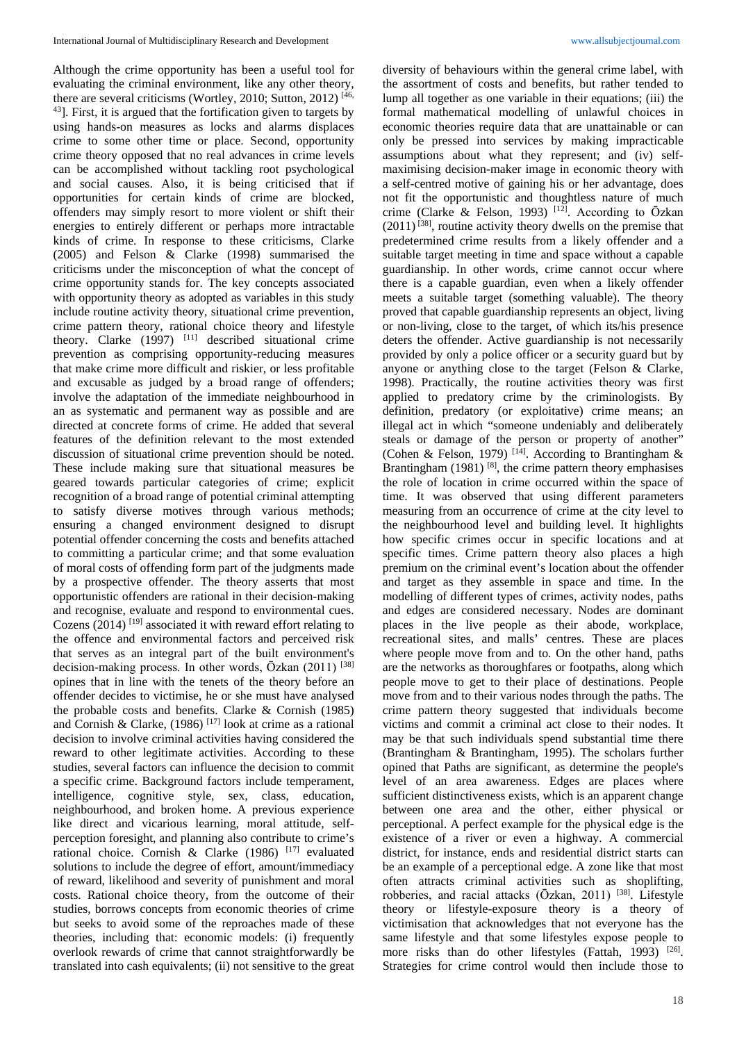Although the crime opportunity has been a useful tool for evaluating the criminal environment, like any other theory, there are several criticisms (Wortley, 2010; Sutton, 2012)<sup>[46,</sup> 43]. First, it is argued that the fortification given to targets by using hands-on measures as locks and alarms displaces crime to some other time or place. Second, opportunity crime theory opposed that no real advances in crime levels can be accomplished without tackling root psychological and social causes. Also, it is being criticised that if opportunities for certain kinds of crime are blocked, offenders may simply resort to more violent or shift their energies to entirely different or perhaps more intractable kinds of crime. In response to these criticisms, Clarke (2005) and Felson & Clarke (1998) summarised the criticisms under the misconception of what the concept of crime opportunity stands for. The key concepts associated with opportunity theory as adopted as variables in this study include routine activity theory, situational crime prevention, crime pattern theory, rational choice theory and lifestyle theory. Clarke  $(1997)$  <sup>[11]</sup> described situational crime prevention as comprising opportunity-reducing measures that make crime more difficult and riskier, or less profitable and excusable as judged by a broad range of offenders; involve the adaptation of the immediate neighbourhood in an as systematic and permanent way as possible and are directed at concrete forms of crime. He added that several features of the definition relevant to the most extended discussion of situational crime prevention should be noted. These include making sure that situational measures be geared towards particular categories of crime; explicit recognition of a broad range of potential criminal attempting to satisfy diverse motives through various methods; ensuring a changed environment designed to disrupt potential offender concerning the costs and benefits attached to committing a particular crime; and that some evaluation of moral costs of offending form part of the judgments made by a prospective offender. The theory asserts that most opportunistic offenders are rational in their decision-making and recognise, evaluate and respond to environmental cues. Cozens  $(2014)$ <sup>[19]</sup> associated it with reward effort relating to the offence and environmental factors and perceived risk that serves as an integral part of the built environment's decision-making process. In other words, Ōzkan (2011) [38] opines that in line with the tenets of the theory before an offender decides to victimise, he or she must have analysed the probable costs and benefits. Clarke & Cornish (1985) and Cornish & Clarke,  $(1986)$ <sup>[17]</sup> look at crime as a rational decision to involve criminal activities having considered the reward to other legitimate activities. According to these studies, several factors can influence the decision to commit a specific crime. Background factors include temperament, intelligence, cognitive style, sex, class, education, neighbourhood, and broken home. A previous experience like direct and vicarious learning, moral attitude, selfperception foresight, and planning also contribute to crime's rational choice. Cornish & Clarke (1986) [17] evaluated solutions to include the degree of effort, amount/immediacy of reward, likelihood and severity of punishment and moral costs. Rational choice theory, from the outcome of their studies, borrows concepts from economic theories of crime but seeks to avoid some of the reproaches made of these theories, including that: economic models: (i) frequently overlook rewards of crime that cannot straightforwardly be translated into cash equivalents; (ii) not sensitive to the great

diversity of behaviours within the general crime label, with the assortment of costs and benefits, but rather tended to lump all together as one variable in their equations; (iii) the formal mathematical modelling of unlawful choices in economic theories require data that are unattainable or can only be pressed into services by making impracticable assumptions about what they represent; and (iv) selfmaximising decision-maker image in economic theory with a self-centred motive of gaining his or her advantage, does not fit the opportunistic and thoughtless nature of much crime (Clarke & Felson, 1993)<sup>[12]</sup>. According to  $\bar{O}$ zkan  $(2011)$ <sup>[38]</sup>, routine activity theory dwells on the premise that predetermined crime results from a likely offender and a suitable target meeting in time and space without a capable guardianship. In other words, crime cannot occur where there is a capable guardian, even when a likely offender meets a suitable target (something valuable). The theory proved that capable guardianship represents an object, living or non-living, close to the target, of which its/his presence deters the offender. Active guardianship is not necessarily provided by only a police officer or a security guard but by anyone or anything close to the target (Felson & Clarke, 1998). Practically, the routine activities theory was first applied to predatory crime by the criminologists. By definition, predatory (or exploitative) crime means; an illegal act in which "someone undeniably and deliberately steals or damage of the person or property of another" (Cohen & Felson, 1979)<sup>[14]</sup>. According to Brantingham & Brantingham (1981)  $^{[8]}$ , the crime pattern theory emphasises the role of location in crime occurred within the space of time. It was observed that using different parameters measuring from an occurrence of crime at the city level to the neighbourhood level and building level. It highlights how specific crimes occur in specific locations and at specific times. Crime pattern theory also places a high premium on the criminal event's location about the offender and target as they assemble in space and time. In the modelling of different types of crimes, activity nodes, paths and edges are considered necessary. Nodes are dominant places in the live people as their abode, workplace, recreational sites, and malls' centres. These are places where people move from and to. On the other hand, paths are the networks as thoroughfares or footpaths, along which people move to get to their place of destinations. People move from and to their various nodes through the paths. The crime pattern theory suggested that individuals become victims and commit a criminal act close to their nodes. It may be that such individuals spend substantial time there (Brantingham & Brantingham, 1995). The scholars further opined that Paths are significant, as determine the people's level of an area awareness. Edges are places where sufficient distinctiveness exists, which is an apparent change between one area and the other, either physical or perceptional. A perfect example for the physical edge is the existence of a river or even a highway. A commercial district, for instance, ends and residential district starts can be an example of a perceptional edge. A zone like that most often attracts criminal activities such as shoplifting, robberies, and racial attacks (Ōzkan, 2011) [38]. Lifestyle theory or lifestyle-exposure theory is a theory of victimisation that acknowledges that not everyone has the same lifestyle and that some lifestyles expose people to more risks than do other lifestyles (Fattah, 1993) [26]. Strategies for crime control would then include those to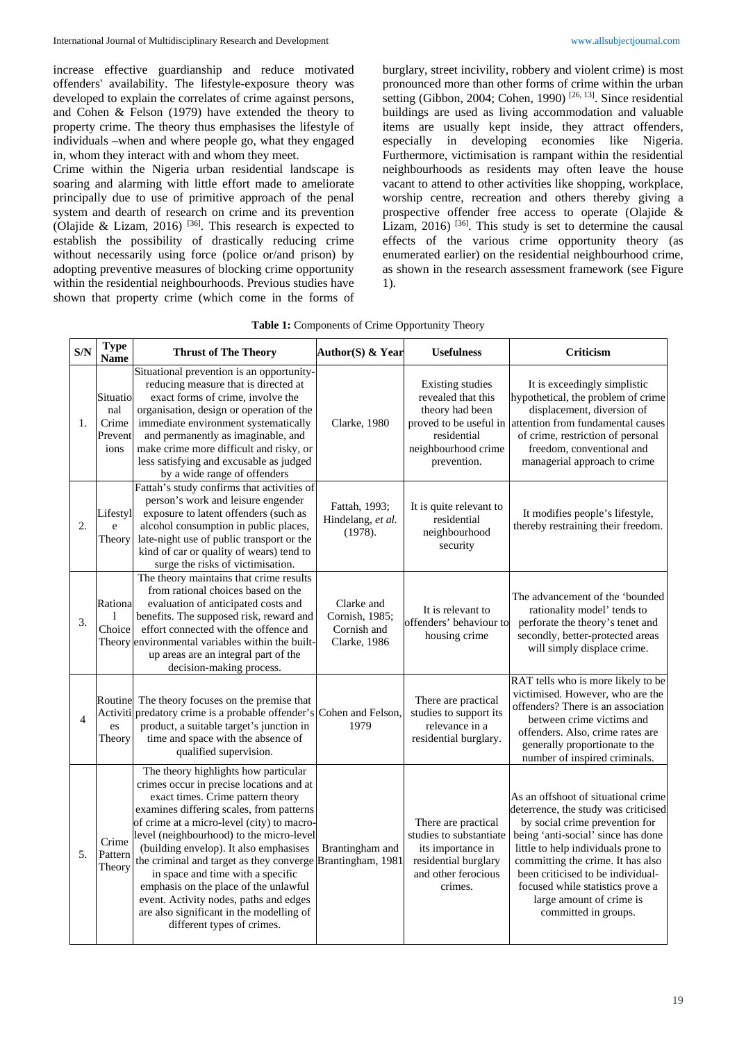increase effective guardianship and reduce motivated offenders' availability. The lifestyle-exposure theory was developed to explain the correlates of crime against persons, and Cohen & Felson (1979) have extended the theory to property crime. The theory thus emphasises the lifestyle of individuals –when and where people go, what they engaged in, whom they interact with and whom they meet.

Crime within the Nigeria urban residential landscape is soaring and alarming with little effort made to ameliorate principally due to use of primitive approach of the penal system and dearth of research on crime and its prevention (Olajide & Lizam, 2016)<sup>[36]</sup>. This research is expected to establish the possibility of drastically reducing crime without necessarily using force (police or/and prison) by adopting preventive measures of blocking crime opportunity within the residential neighbourhoods. Previous studies have shown that property crime (which come in the forms of burglary, street incivility, robbery and violent crime) is most pronounced more than other forms of crime within the urban setting (Gibbon, 2004; Cohen, 1990)<sup>[26, 13]</sup>. Since residential buildings are used as living accommodation and valuable items are usually kept inside, they attract offenders, especially in developing economies like Nigeria. Furthermore, victimisation is rampant within the residential neighbourhoods as residents may often leave the house vacant to attend to other activities like shopping, workplace, worship centre, recreation and others thereby giving a prospective offender free access to operate (Olajide & Lizam,  $2016$ )  $^{[36]}$ . This study is set to determine the causal effects of the various crime opportunity theory (as enumerated earlier) on the residential neighbourhood crime, as shown in the research assessment framework (see Figure 1).

| Table 1: Components of Crime Opportunity Theory |  |
|-------------------------------------------------|--|
|-------------------------------------------------|--|

| S/N              | <b>Type</b><br><b>Name</b>                  | <b>Thrust of The Theory</b>                                                                                                                                                                                                                                                                                                                                                                                                                                                                                                                                           | Author(S) & Year                                            | <b>Usefulness</b>                                                                                                             | Criticism                                                                                                                                                                                                                                                                                                                                                    |
|------------------|---------------------------------------------|-----------------------------------------------------------------------------------------------------------------------------------------------------------------------------------------------------------------------------------------------------------------------------------------------------------------------------------------------------------------------------------------------------------------------------------------------------------------------------------------------------------------------------------------------------------------------|-------------------------------------------------------------|-------------------------------------------------------------------------------------------------------------------------------|--------------------------------------------------------------------------------------------------------------------------------------------------------------------------------------------------------------------------------------------------------------------------------------------------------------------------------------------------------------|
| 1.               | Situatio<br>nal<br>Crime<br>Prevent<br>ions | Situational prevention is an opportunity-<br>reducing measure that is directed at<br>exact forms of crime, involve the<br>organisation, design or operation of the<br>immediate environment systematically<br>and permanently as imaginable, and<br>make crime more difficult and risky, or<br>less satisfying and excusable as judged<br>by a wide range of offenders                                                                                                                                                                                                | Clarke, 1980                                                | Existing studies<br>revealed that this<br>theory had been<br>residential<br>neighbourhood crime<br>prevention.                | It is exceedingly simplistic<br>hypothetical, the problem of crime<br>displacement, diversion of<br>proved to be useful in attention from fundamental causes<br>of crime, restriction of personal<br>freedom, conventional and<br>managerial approach to crime                                                                                               |
| $\overline{2}$ . | Lifestyl<br>e<br>Theory                     | Fattah's study confirms that activities of<br>person's work and leisure engender<br>exposure to latent offenders (such as<br>alcohol consumption in public places,<br>late-night use of public transport or the<br>kind of car or quality of wears) tend to<br>surge the risks of victimisation.                                                                                                                                                                                                                                                                      | Fattah, 1993;<br>Hindelang, et al.<br>(1978).               | It is quite relevant to<br>residential<br>neighbourhood<br>security                                                           | It modifies people's lifestyle,<br>thereby restraining their freedom.                                                                                                                                                                                                                                                                                        |
| 3.               | Rationa<br>Choice                           | The theory maintains that crime results<br>from rational choices based on the<br>evaluation of anticipated costs and<br>benefits. The supposed risk, reward and<br>effort connected with the offence and<br>Theory environmental variables within the built-<br>up areas are an integral part of the<br>decision-making process.                                                                                                                                                                                                                                      | Clarke and<br>Cornish, 1985;<br>Cornish and<br>Clarke, 1986 | It is relevant to<br>offenders' behaviour to<br>housing crime                                                                 | The advancement of the 'bounded<br>rationality model' tends to<br>perforate the theory's tenet and<br>secondly, better-protected areas<br>will simply displace crime.                                                                                                                                                                                        |
| 4                | Routine<br>es<br>Theory                     | The theory focuses on the premise that<br>Activiti predatory crime is a probable offender's<br>product, a suitable target's junction in<br>time and space with the absence of<br>qualified supervision.                                                                                                                                                                                                                                                                                                                                                               | Cohen and Felson,<br>1979                                   | There are practical<br>studies to support its<br>relevance in a<br>residential burglary.                                      | RAT tells who is more likely to be<br>victimised. However, who are the<br>offenders? There is an association<br>between crime victims and<br>offenders. Also, crime rates are<br>generally proportionate to the<br>number of inspired criminals.                                                                                                             |
| 5.               | Crime<br>Pattern<br>Theory                  | The theory highlights how particular<br>crimes occur in precise locations and at<br>exact times. Crime pattern theory<br>examines differing scales, from patterns<br>of crime at a micro-level (city) to macro-<br>level (neighbourhood) to the micro-level<br>(building envelop). It also emphasises<br>the criminal and target as they converge Brantingham, 1981<br>in space and time with a specific<br>emphasis on the place of the unlawful<br>event. Activity nodes, paths and edges<br>are also significant in the modelling of<br>different types of crimes. | Brantingham and                                             | There are practical<br>studies to substantiate<br>its importance in<br>residential burglary<br>and other ferocious<br>crimes. | As an offshoot of situational crime<br>deterrence, the study was criticised<br>by social crime prevention for<br>being 'anti-social' since has done<br>little to help individuals prone to<br>committing the crime. It has also<br>been criticised to be individual-<br>focused while statistics prove a<br>large amount of crime is<br>committed in groups. |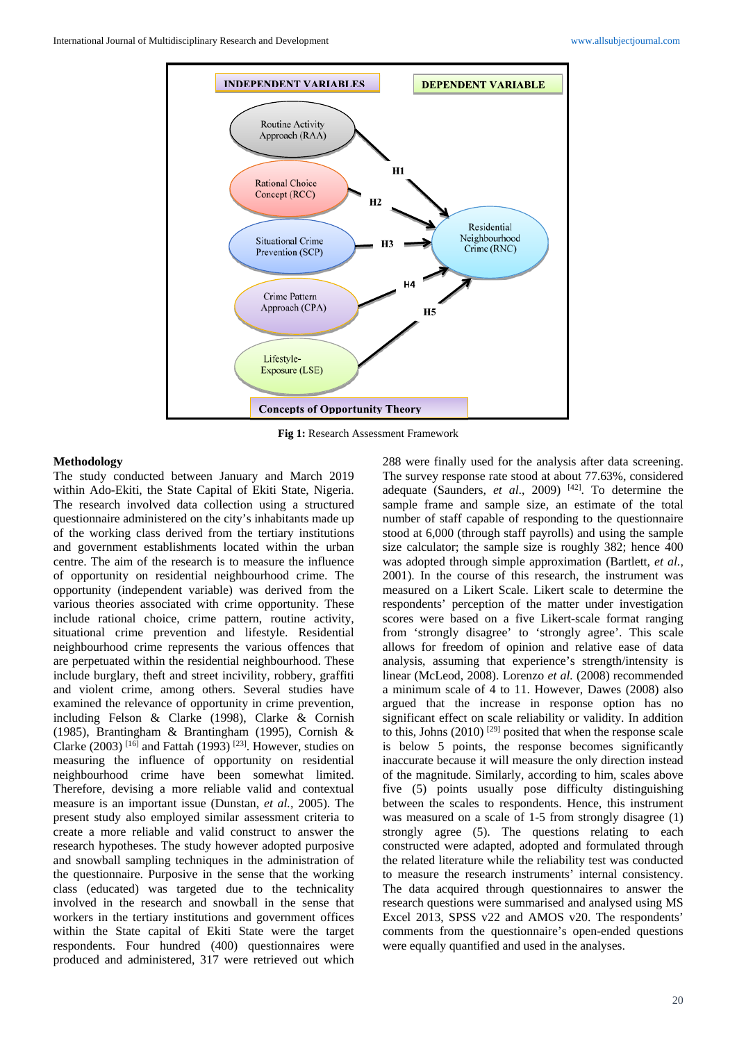

**Fig 1:** Research Assessment Framework

#### **Methodology**

The study conducted between January and March 2019 within Ado-Ekiti, the State Capital of Ekiti State, Nigeria. The research involved data collection using a structured questionnaire administered on the city's inhabitants made up of the working class derived from the tertiary institutions and government establishments located within the urban centre. The aim of the research is to measure the influence of opportunity on residential neighbourhood crime. The opportunity (independent variable) was derived from the various theories associated with crime opportunity. These include rational choice, crime pattern, routine activity, situational crime prevention and lifestyle. Residential neighbourhood crime represents the various offences that are perpetuated within the residential neighbourhood. These include burglary, theft and street incivility, robbery, graffiti and violent crime, among others. Several studies have examined the relevance of opportunity in crime prevention, including Felson & Clarke (1998), Clarke & Cornish (1985), Brantingham & Brantingham (1995), Cornish & Clarke (2003) <sup>[16]</sup> and Fattah (1993) <sup>[23]</sup>. However, studies on measuring the influence of opportunity on residential neighbourhood crime have been somewhat limited. Therefore, devising a more reliable valid and contextual measure is an important issue (Dunstan, *et al.,* 2005). The present study also employed similar assessment criteria to create a more reliable and valid construct to answer the research hypotheses. The study however adopted purposive and snowball sampling techniques in the administration of the questionnaire. Purposive in the sense that the working class (educated) was targeted due to the technicality involved in the research and snowball in the sense that workers in the tertiary institutions and government offices within the State capital of Ekiti State were the target respondents. Four hundred (400) questionnaires were produced and administered, 317 were retrieved out which

288 were finally used for the analysis after data screening. The survey response rate stood at about 77.63%, considered adequate (Saunders, *et al*., 2009) [42]. To determine the sample frame and sample size, an estimate of the total number of staff capable of responding to the questionnaire stood at 6,000 (through staff payrolls) and using the sample size calculator; the sample size is roughly 382; hence 400 was adopted through simple approximation (Bartlett, *et al.,* 2001). In the course of this research, the instrument was measured on a Likert Scale. Likert scale to determine the respondents' perception of the matter under investigation scores were based on a five Likert-scale format ranging from 'strongly disagree' to 'strongly agree'. This scale allows for freedom of opinion and relative ease of data analysis, assuming that experience's strength/intensity is linear (McLeod, 2008). Lorenzo *et al.* (2008) recommended a minimum scale of 4 to 11. However, Dawes (2008) also argued that the increase in response option has no significant effect on scale reliability or validity. In addition to this, Johns  $(2010)$  <sup>[29]</sup> posited that when the response scale is below 5 points, the response becomes significantly inaccurate because it will measure the only direction instead of the magnitude. Similarly, according to him, scales above five (5) points usually pose difficulty distinguishing between the scales to respondents. Hence, this instrument was measured on a scale of 1-5 from strongly disagree (1) strongly agree (5). The questions relating to each constructed were adapted, adopted and formulated through the related literature while the reliability test was conducted to measure the research instruments' internal consistency. The data acquired through questionnaires to answer the research questions were summarised and analysed using MS Excel 2013, SPSS v22 and AMOS v20. The respondents' comments from the questionnaire's open-ended questions were equally quantified and used in the analyses.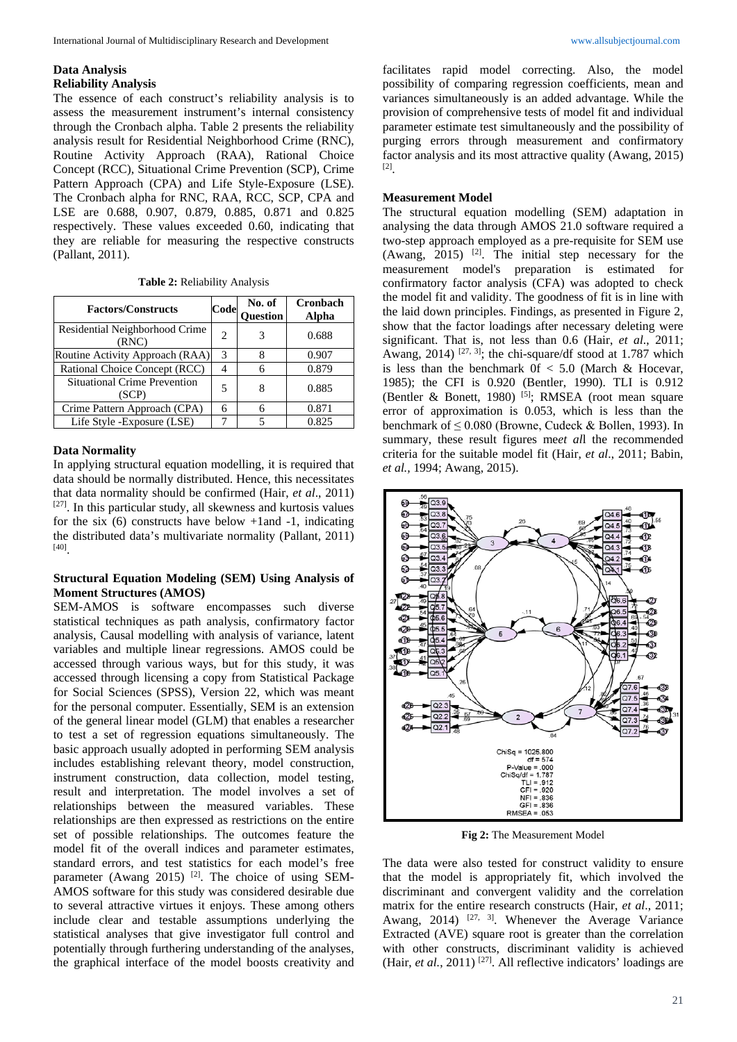#### **Data Analysis Reliability Analysis**

The essence of each construct's reliability analysis is to assess the measurement instrument's internal consistency through the Cronbach alpha. Table 2 presents the reliability analysis result for Residential Neighborhood Crime (RNC), Routine Activity Approach (RAA), Rational Choice Concept (RCC), Situational Crime Prevention (SCP), Crime Pattern Approach (CPA) and Life Style-Exposure (LSE). The Cronbach alpha for RNC, RAA, RCC, SCP, CPA and LSE are 0.688, 0.907, 0.879, 0.885, 0.871 and 0.825 respectively. These values exceeded 0.60, indicating that they are reliable for measuring the respective constructs (Pallant, 2011).

|  | <b>Table 2: Reliability Analysis</b> |  |
|--|--------------------------------------|--|
|  |                                      |  |

| <b>Factors/Constructs</b>                    | Code          | No. of<br>Question | Cronbach<br>Alpha |
|----------------------------------------------|---------------|--------------------|-------------------|
| Residential Neighborhood Crime<br>(RNC)      | 2             |                    | 0.688             |
| Routine Activity Approach (RAA)              | $\mathcal{R}$ |                    | 0.907             |
| Rational Choice Concept (RCC)                |               |                    | 0.879             |
| <b>Situational Crime Prevention</b><br>(SCP) | 5             |                    | 0.885             |
| Crime Pattern Approach (CPA)                 | 6             |                    | 0.871             |
| Life Style - Exposure (LSE)                  |               | 5                  | 0.825             |

#### **Data Normality**

In applying structural equation modelling, it is required that data should be normally distributed. Hence, this necessitates that data normality should be confirmed (Hair, *et al*., 2011) [27]. In this particular study, all skewness and kurtosis values for the six  $(6)$  constructs have below +1and -1, indicating the distributed data's multivariate normality (Pallant, 2011) [40].

# **Structural Equation Modeling (SEM) Using Analysis of Moment Structures (AMOS)**

SEM-AMOS is software encompasses such diverse statistical techniques as path analysis, confirmatory factor analysis, Causal modelling with analysis of variance, latent variables and multiple linear regressions. AMOS could be accessed through various ways, but for this study, it was accessed through licensing a copy from Statistical Package for Social Sciences (SPSS), Version 22, which was meant for the personal computer. Essentially, SEM is an extension of the general linear model (GLM) that enables a researcher to test a set of regression equations simultaneously. The basic approach usually adopted in performing SEM analysis includes establishing relevant theory, model construction, instrument construction, data collection, model testing, result and interpretation. The model involves a set of relationships between the measured variables. These relationships are then expressed as restrictions on the entire set of possible relationships. The outcomes feature the model fit of the overall indices and parameter estimates, standard errors, and test statistics for each model's free parameter (Awang 2015) <sup>[2]</sup>. The choice of using SEM-AMOS software for this study was considered desirable due to several attractive virtues it enjoys. These among others include clear and testable assumptions underlying the statistical analyses that give investigator full control and potentially through furthering understanding of the analyses, the graphical interface of the model boosts creativity and

facilitates rapid model correcting. Also, the model possibility of comparing regression coefficients, mean and variances simultaneously is an added advantage. While the provision of comprehensive tests of model fit and individual parameter estimate test simultaneously and the possibility of purging errors through measurement and confirmatory factor analysis and its most attractive quality (Awang, 2015) [2].

#### **Measurement Model**

The structural equation modelling (SEM) adaptation in analysing the data through AMOS 21.0 software required a two-step approach employed as a pre-requisite for SEM use (Awang,  $2015$ ) <sup>[2]</sup>. The initial step necessary for the measurement model's preparation is estimated for confirmatory factor analysis (CFA) was adopted to check the model fit and validity. The goodness of fit is in line with the laid down principles. Findings, as presented in Figure 2, show that the factor loadings after necessary deleting were significant. That is, not less than 0.6 (Hair, *et al*., 2011; Awang, 2014) <sup>[27, 3]</sup>; the chi-square/df stood at 1.787 which is less than the benchmark  $0f < 5.0$  (March & Hocevar, 1985); the CFI is 0.920 (Bentler, 1990). TLI is 0.912 (Bentler & Bonett, 1980)<sup>[5]</sup>; RMSEA (root mean square error of approximation is 0.053, which is less than the benchmark of ≤ 0.080 (Browne, Cudeck & Bollen, 1993). In summary, these result figures me*et al*l the recommended criteria for the suitable model fit (Hair, *et al*., 2011; Babin, *et al.,* 1994; Awang, 2015).



**Fig 2:** The Measurement Model

The data were also tested for construct validity to ensure that the model is appropriately fit, which involved the discriminant and convergent validity and the correlation matrix for the entire research constructs (Hair, *et al*., 2011; Awang, 2014)  $[27, 3]$ . Whenever the Average Variance Extracted (AVE) square root is greater than the correlation with other constructs, discriminant validity is achieved (Hair, *et al.*, 2011)<sup>[27]</sup>. All reflective indicators' loadings are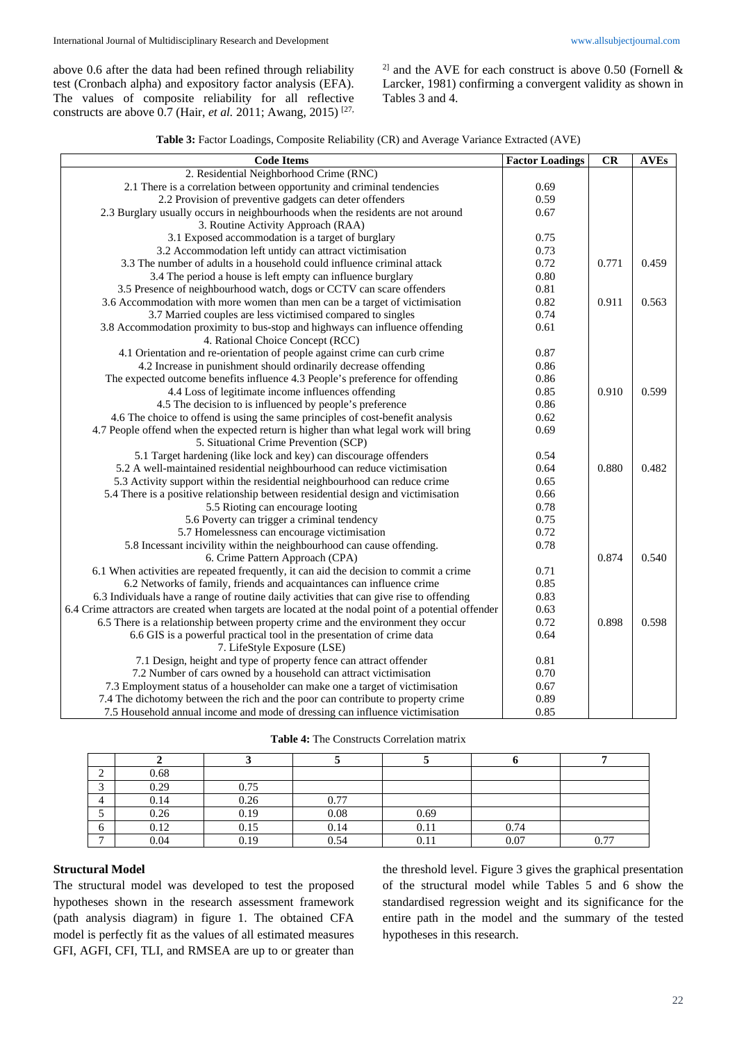above 0.6 after the data had been refined through reliability test (Cronbach alpha) and expository factor analysis (EFA). The values of composite reliability for all reflective constructs are above 0.7 (Hair, *et al.* 2011; Awang, 2015) [27, <sup>2]</sup> and the AVE for each construct is above 0.50 (Fornell  $\&$ Larcker, 1981) confirming a convergent validity as shown in Tables 3 and 4.

| <b>Code Items</b>                                                                                    | <b>Factor Loadings</b> | CR    | <b>AVEs</b> |
|------------------------------------------------------------------------------------------------------|------------------------|-------|-------------|
| 2. Residential Neighborhood Crime (RNC)                                                              |                        |       |             |
| 2.1 There is a correlation between opportunity and criminal tendencies                               | 0.69                   |       |             |
| 2.2 Provision of preventive gadgets can deter offenders                                              | 0.59                   |       |             |
| 2.3 Burglary usually occurs in neighbourhoods when the residents are not around                      | 0.67                   |       |             |
| 3. Routine Activity Approach (RAA)                                                                   |                        |       |             |
| 3.1 Exposed accommodation is a target of burglary                                                    | 0.75                   |       |             |
| 3.2 Accommodation left untidy can attract victimisation                                              | 0.73                   |       |             |
| 3.3 The number of adults in a household could influence criminal attack                              | 0.72                   | 0.771 | 0.459       |
| 3.4 The period a house is left empty can influence burglary                                          | 0.80                   |       |             |
| 3.5 Presence of neighbourhood watch, dogs or CCTV can scare offenders                                | 0.81                   |       |             |
| 3.6 Accommodation with more women than men can be a target of victimisation                          | 0.82                   | 0.911 | 0.563       |
| 3.7 Married couples are less victimised compared to singles                                          | 0.74                   |       |             |
| 3.8 Accommodation proximity to bus-stop and highways can influence offending                         | 0.61                   |       |             |
| 4. Rational Choice Concept (RCC)                                                                     |                        |       |             |
| 4.1 Orientation and re-orientation of people against crime can curb crime                            | 0.87                   |       |             |
| 4.2 Increase in punishment should ordinarily decrease offending                                      | 0.86                   |       |             |
| The expected outcome benefits influence 4.3 People's preference for offending                        | 0.86                   |       |             |
| 4.4 Loss of legitimate income influences offending                                                   | 0.85                   | 0.910 | 0.599       |
| 4.5 The decision to is influenced by people's preference                                             | 0.86                   |       |             |
| 4.6 The choice to offend is using the same principles of cost-benefit analysis                       | 0.62                   |       |             |
| 4.7 People offend when the expected return is higher than what legal work will bring                 | 0.69                   |       |             |
| 5. Situational Crime Prevention (SCP)                                                                |                        |       |             |
| 5.1 Target hardening (like lock and key) can discourage offenders                                    | 0.54                   |       |             |
| 5.2 A well-maintained residential neighbourhood can reduce victimisation                             | 0.64                   | 0.880 | 0.482       |
| 5.3 Activity support within the residential neighbourhood can reduce crime                           | 0.65                   |       |             |
| 5.4 There is a positive relationship between residential design and victimisation                    | 0.66                   |       |             |
| 5.5 Rioting can encourage looting                                                                    | 0.78                   |       |             |
| 5.6 Poverty can trigger a criminal tendency                                                          | 0.75                   |       |             |
| 5.7 Homelessness can encourage victimisation                                                         | 0.72                   |       |             |
| 5.8 Incessant incivility within the neighbourhood can cause offending.                               | 0.78                   |       |             |
| 6. Crime Pattern Approach (CPA)                                                                      |                        | 0.874 | 0.540       |
| 6.1 When activities are repeated frequently, it can aid the decision to commit a crime               | 0.71                   |       |             |
| 6.2 Networks of family, friends and acquaintances can influence crime                                | 0.85                   |       |             |
| 6.3 Individuals have a range of routine daily activities that can give rise to offending             | 0.83                   |       |             |
| 6.4 Crime attractors are created when targets are located at the nodal point of a potential offender | 0.63                   |       |             |
| 6.5 There is a relationship between property crime and the environment they occur                    | 0.72                   | 0.898 | 0.598       |
| 6.6 GIS is a powerful practical tool in the presentation of crime data                               | 0.64                   |       |             |
| 7. LifeStyle Exposure (LSE)                                                                          |                        |       |             |
| 7.1 Design, height and type of property fence can attract offender                                   | 0.81                   |       |             |
| 7.2 Number of cars owned by a household can attract victimisation                                    | 0.70                   |       |             |
| 7.3 Employment status of a householder can make one a target of victimisation                        | 0.67                   |       |             |
| 7.4 The dichotomy between the rich and the poor can contribute to property crime                     | 0.89                   |       |             |
| 7.5 Household annual income and mode of dressing can influence victimisation                         | 0.85                   |       |             |

**Table 4:** The Constructs Correlation matrix

|                | 0.68 |      |      |      |      |      |
|----------------|------|------|------|------|------|------|
| $\sim$         | 0.29 | 0.75 |      |      |      |      |
| 4              | 0.14 | 0.26 | 0.77 |      |      |      |
|                | 0.26 | 0.19 | 0.08 | 0.69 |      |      |
| O              | 0.12 | 0.15 | 0.14 | 0.11 | 0.74 |      |
| $\overline{ }$ | 0.04 | 0.19 | 0.54 | 0.11 | 0.07 | 0.77 |

### **Structural Model**

The structural model was developed to test the proposed hypotheses shown in the research assessment framework (path analysis diagram) in figure 1. The obtained CFA model is perfectly fit as the values of all estimated measures GFI, AGFI, CFI, TLI, and RMSEA are up to or greater than the threshold level. Figure 3 gives the graphical presentation of the structural model while Tables 5 and 6 show the standardised regression weight and its significance for the entire path in the model and the summary of the tested hypotheses in this research.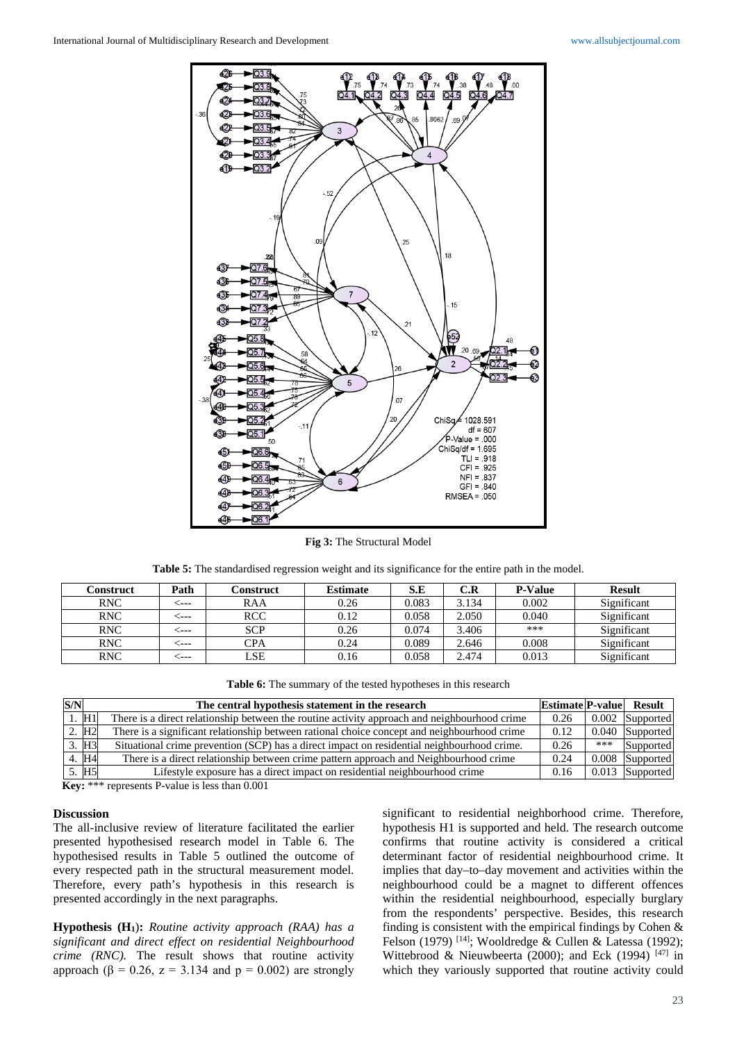

**Fig 3:** The Structural Model

| Table 5: The standardised regression weight and its significance for the entire path in the model. |
|----------------------------------------------------------------------------------------------------|
|----------------------------------------------------------------------------------------------------|

| Path       | Construct  | <b>Estimate</b> | S.E   | C.R   | <b>P-Value</b> | <b>Result</b> |
|------------|------------|-----------------|-------|-------|----------------|---------------|
| - - - -    | RAA        | 0.26            | 0.083 | 3.134 | 0.002          | Significant   |
| - - - -    | <b>RCC</b> | 0.12            | 0.058 | 2.050 | 0.040          | Significant   |
| . <b>.</b> | <b>SCP</b> | 0.26            | 0.074 | 3.406 | ***            | Significant   |
| ----       | $\rm{CPA}$ | 0.24            | 0.089 | 2.646 | 0.008          | Significant   |
| ----       | LSE        | 0.16            | 0.058 | 2.474 | 0.013          | Significant   |
|            |            |                 |       |       |                |               |

| Table 6: The summary of the tested hypotheses in this research |  |
|----------------------------------------------------------------|--|
|----------------------------------------------------------------|--|

| S/N |                   | The central hypothesis statement in the research                                             | <b>Estimate P-value</b> Result |       |                   |
|-----|-------------------|----------------------------------------------------------------------------------------------|--------------------------------|-------|-------------------|
|     | H1                | There is a direct relationship between the routine activity approach and neighbourhood crime | 0.26                           | 0.002 | Supported         |
|     | 2. H <sub>2</sub> | There is a significant relationship between rational choice concept and neighbourhood crime  | 0.12                           | 0.040 | Supported         |
|     | 3. H <sub>3</sub> | Situational crime prevention (SCP) has a direct impact on residential neighbourhood crime.   | 0.26                           | ***   | Supported         |
|     | 4. H <sub>4</sub> | There is a direct relationship between crime pattern approach and Neighbourhood crime        | 0.24                           | 0.008 | Supported         |
|     | 5. H <sub>5</sub> | Lifestyle exposure has a direct impact on residential neighbourhood crime                    | 0.16                           |       | $0.013$ Supported |

**Key:** \*\*\* represents P-value is less than 0.001

### **Discussion**

The all-inclusive review of literature facilitated the earlier presented hypothesised research model in Table 6. The hypothesised results in Table 5 outlined the outcome of every respected path in the structural measurement model. Therefore, every path's hypothesis in this research is presented accordingly in the next paragraphs.

**Hypothesis (H1**)**:** *Routine activity approach (RAA) has a significant and direct effect on residential Neighbourhood crime (RNC).* The result shows that routine activity approach ( $\beta = 0.26$ ,  $z = 3.134$  and  $p = 0.002$ ) are strongly

significant to residential neighborhood crime. Therefore, hypothesis H1 is supported and held. The research outcome confirms that routine activity is considered a critical determinant factor of residential neighbourhood crime. It implies that day–to–day movement and activities within the neighbourhood could be a magnet to different offences within the residential neighbourhood, especially burglary from the respondents' perspective. Besides, this research finding is consistent with the empirical findings by Cohen & Felson (1979) <sup>[14]</sup>; Wooldredge & Cullen & Latessa (1992); Wittebrood & Nieuwbeerta (2000); and Eck (1994)  $[47]$  in which they variously supported that routine activity could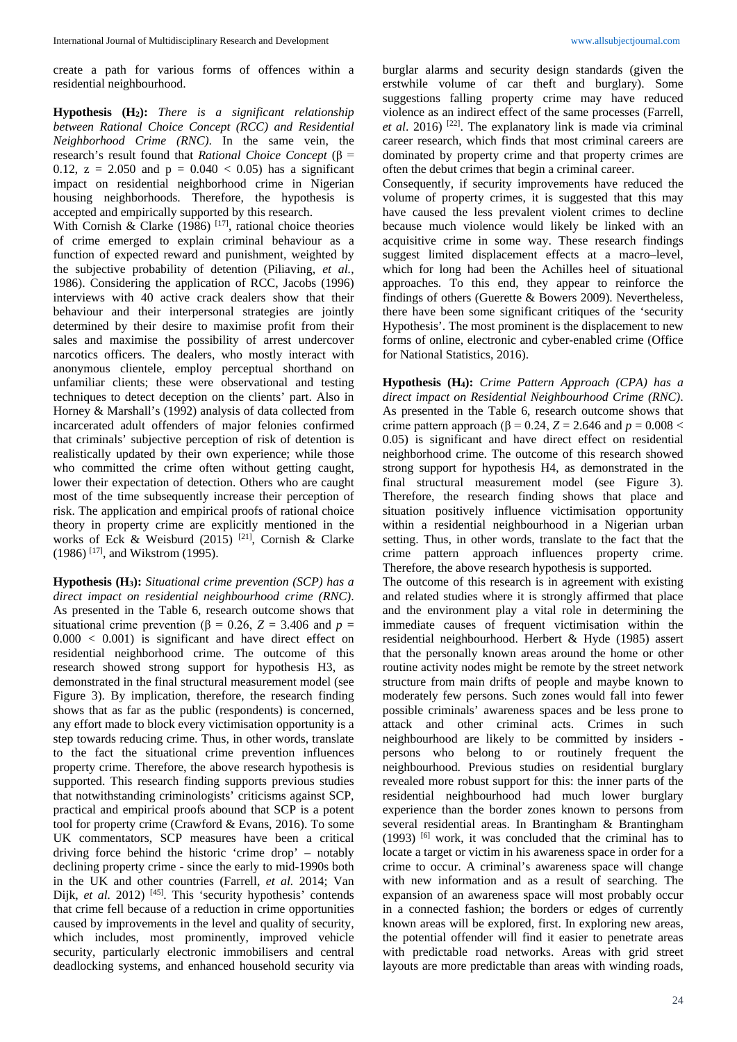create a path for various forms of offences within a residential neighbourhood.

**Hypothesis (H2):** *There is a significant relationship between Rational Choice Concept (RCC) and Residential Neighborhood Crime (RNC)*. In the same vein, the research's result found that *Rational Choice Concept* (β = 0.12,  $z = 2.050$  and  $p = 0.040 < 0.05$ ) has a significant impact on residential neighborhood crime in Nigerian housing neighborhoods. Therefore, the hypothesis is accepted and empirically supported by this research.

With Cornish & Clarke (1986)  $[17]$ , rational choice theories of crime emerged to explain criminal behaviour as a function of expected reward and punishment, weighted by the subjective probability of detention (Piliaving*, et al.*, 1986). Considering the application of RCC, Jacobs (1996) interviews with 40 active crack dealers show that their behaviour and their interpersonal strategies are jointly determined by their desire to maximise profit from their sales and maximise the possibility of arrest undercover narcotics officers. The dealers, who mostly interact with anonymous clientele, employ perceptual shorthand on unfamiliar clients; these were observational and testing techniques to detect deception on the clients' part. Also in Horney & Marshall's (1992) analysis of data collected from incarcerated adult offenders of major felonies confirmed that criminals' subjective perception of risk of detention is realistically updated by their own experience; while those who committed the crime often without getting caught, lower their expectation of detection. Others who are caught most of the time subsequently increase their perception of risk. The application and empirical proofs of rational choice theory in property crime are explicitly mentioned in the works of Eck & Weisburd (2015) <sup>[21]</sup>, Cornish & Clarke (1986) [17], and Wikstrom (1995).

**Hypothesis (H3):** *Situational crime prevention (SCP) has a direct impact on residential neighbourhood crime (RNC)*. As presented in the Table 6, research outcome shows that situational crime prevention ( $\beta$  = 0.26, *Z* = 3.406 and *p* =  $0.000 < 0.001$ ) is significant and have direct effect on residential neighborhood crime. The outcome of this research showed strong support for hypothesis H3, as demonstrated in the final structural measurement model (see Figure 3). By implication, therefore, the research finding shows that as far as the public (respondents) is concerned, any effort made to block every victimisation opportunity is a step towards reducing crime. Thus, in other words, translate to the fact the situational crime prevention influences property crime. Therefore, the above research hypothesis is supported. This research finding supports previous studies that notwithstanding criminologists' criticisms against SCP, practical and empirical proofs abound that SCP is a potent tool for property crime (Crawford & Evans, 2016). To some UK commentators, SCP measures have been a critical driving force behind the historic 'crime drop' – notably declining property crime - since the early to mid-1990s both in the UK and other countries (Farrell, *et al.* 2014; Van Dijk, *et al.* 2012) <sup>[45]</sup>. This 'security hypothesis' contends that crime fell because of a reduction in crime opportunities caused by improvements in the level and quality of security, which includes, most prominently, improved vehicle security, particularly electronic immobilisers and central deadlocking systems, and enhanced household security via burglar alarms and security design standards (given the erstwhile volume of car theft and burglary). Some suggestions falling property crime may have reduced violence as an indirect effect of the same processes (Farrell, *et al*. 2016) [22]. The explanatory link is made via criminal career research, which finds that most criminal careers are dominated by property crime and that property crimes are often the debut crimes that begin a criminal career.

Consequently, if security improvements have reduced the volume of property crimes, it is suggested that this may have caused the less prevalent violent crimes to decline because much violence would likely be linked with an acquisitive crime in some way. These research findings suggest limited displacement effects at a macro–level, which for long had been the Achilles heel of situational approaches. To this end, they appear to reinforce the findings of others (Guerette & Bowers 2009). Nevertheless, there have been some significant critiques of the 'security Hypothesis'. The most prominent is the displacement to new forms of online, electronic and cyber-enabled crime (Office for National Statistics, 2016).

**Hypothesis (H4):** *Crime Pattern Approach (CPA) has a direct impact on Residential Neighbourhood Crime (RNC)*. As presented in the Table 6, research outcome shows that crime pattern approach ( $β = 0.24$ ,  $Z = 2.646$  and  $p = 0.008$  < 0.05) is significant and have direct effect on residential neighborhood crime. The outcome of this research showed strong support for hypothesis H4, as demonstrated in the final structural measurement model (see Figure 3). Therefore, the research finding shows that place and situation positively influence victimisation opportunity within a residential neighbourhood in a Nigerian urban setting. Thus, in other words, translate to the fact that the crime pattern approach influences property crime. Therefore, the above research hypothesis is supported.

The outcome of this research is in agreement with existing and related studies where it is strongly affirmed that place and the environment play a vital role in determining the immediate causes of frequent victimisation within the residential neighbourhood. Herbert & Hyde (1985) assert that the personally known areas around the home or other routine activity nodes might be remote by the street network structure from main drifts of people and maybe known to moderately few persons. Such zones would fall into fewer possible criminals' awareness spaces and be less prone to attack and other criminal acts. Crimes in such neighbourhood are likely to be committed by insiders persons who belong to or routinely frequent the neighbourhood. Previous studies on residential burglary revealed more robust support for this: the inner parts of the residential neighbourhood had much lower burglary experience than the border zones known to persons from several residential areas. In Brantingham & Brantingham  $(1993)$  <sup>[6]</sup> work, it was concluded that the criminal has to locate a target or victim in his awareness space in order for a crime to occur. A criminal's awareness space will change with new information and as a result of searching. The expansion of an awareness space will most probably occur in a connected fashion; the borders or edges of currently known areas will be explored, first. In exploring new areas, the potential offender will find it easier to penetrate areas with predictable road networks. Areas with grid street layouts are more predictable than areas with winding roads,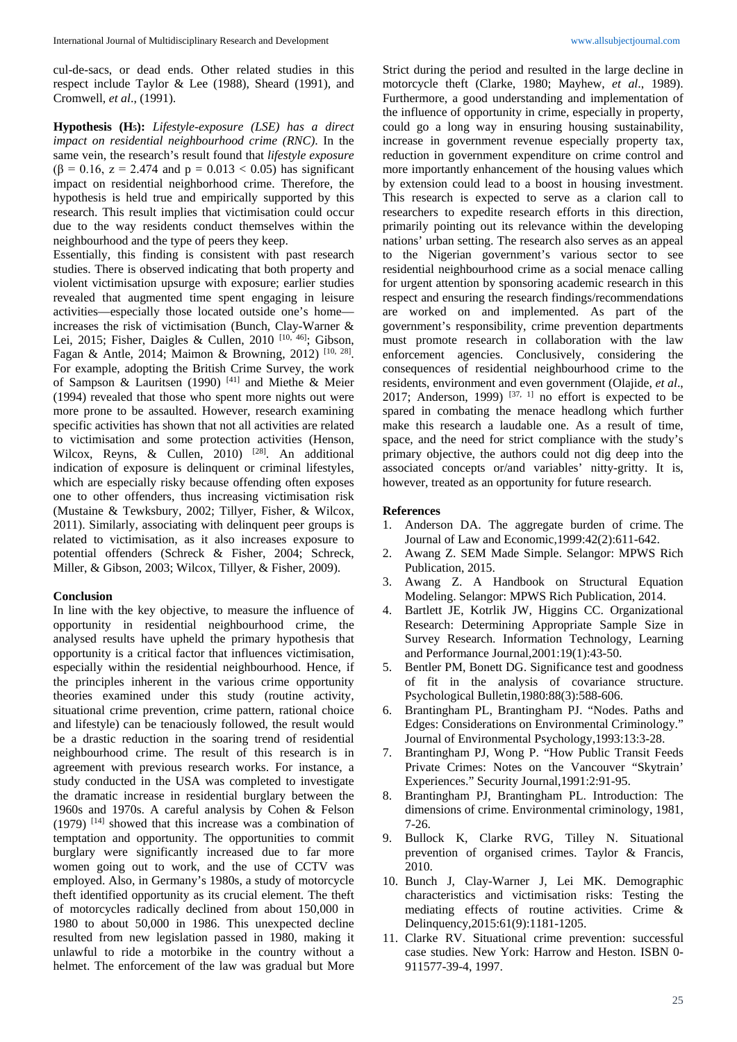cul-de-sacs, or dead ends. Other related studies in this respect include Taylor & Lee (1988), Sheard (1991), and Cromwell*, et al*., (1991).

**Hypothesis (H5):** *Lifestyle-exposure (LSE) has a direct impact on residential neighbourhood crime (RNC)*. In the same vein, the research's result found that *lifestyle exposure* ( $\beta$  = 0.16, z = 2.474 and p = 0.013 < 0.05) has significant impact on residential neighborhood crime. Therefore, the hypothesis is held true and empirically supported by this research. This result implies that victimisation could occur due to the way residents conduct themselves within the neighbourhood and the type of peers they keep.

Essentially, this finding is consistent with past research studies. There is observed indicating that both property and violent victimisation upsurge with exposure; earlier studies revealed that augmented time spent engaging in leisure activities—especially those located outside one's home increases the risk of victimisation (Bunch, Clay-Warner & Lei, 2015; Fisher, Daigles & Cullen, 2010  $[10, 46]$ ; Gibson, Fagan & Antle, 2014; Maimon & Browning, 2012) [10, 28]. For example, adopting the British Crime Survey, the work of Sampson & Lauritsen (1990) [41] and Miethe & Meier (1994) revealed that those who spent more nights out were more prone to be assaulted. However, research examining specific activities has shown that not all activities are related to victimisation and some protection activities (Henson, Wilcox, Reyns, & Cullen, 2010) <sup>[28]</sup>. An additional indication of exposure is delinquent or criminal lifestyles, which are especially risky because offending often exposes one to other offenders, thus increasing victimisation risk (Mustaine & Tewksbury, 2002; Tillyer, Fisher, & Wilcox, 2011). Similarly, associating with delinquent peer groups is related to victimisation, as it also increases exposure to potential offenders (Schreck & Fisher, 2004; Schreck, Miller, & Gibson, 2003; Wilcox, Tillyer, & Fisher, 2009).

#### **Conclusion**

In line with the key objective, to measure the influence of opportunity in residential neighbourhood crime, the analysed results have upheld the primary hypothesis that opportunity is a critical factor that influences victimisation, especially within the residential neighbourhood. Hence, if the principles inherent in the various crime opportunity theories examined under this study (routine activity, situational crime prevention, crime pattern, rational choice and lifestyle) can be tenaciously followed, the result would be a drastic reduction in the soaring trend of residential neighbourhood crime. The result of this research is in agreement with previous research works. For instance, a study conducted in the USA was completed to investigate the dramatic increase in residential burglary between the 1960s and 1970s. A careful analysis by Cohen & Felson (1979) [14] showed that this increase was a combination of temptation and opportunity. The opportunities to commit burglary were significantly increased due to far more women going out to work, and the use of CCTV was employed. Also, in Germany's 1980s, a study of motorcycle theft identified opportunity as its crucial element. The theft of motorcycles radically declined from about 150,000 in 1980 to about 50,000 in 1986. This unexpected decline resulted from new legislation passed in 1980, making it unlawful to ride a motorbike in the country without a helmet. The enforcement of the law was gradual but More Strict during the period and resulted in the large decline in motorcycle theft (Clarke, 1980; Mayhew, *et al*., 1989). Furthermore, a good understanding and implementation of the influence of opportunity in crime, especially in property, could go a long way in ensuring housing sustainability, increase in government revenue especially property tax, reduction in government expenditure on crime control and more importantly enhancement of the housing values which by extension could lead to a boost in housing investment. This research is expected to serve as a clarion call to researchers to expedite research efforts in this direction, primarily pointing out its relevance within the developing nations' urban setting. The research also serves as an appeal to the Nigerian government's various sector to see residential neighbourhood crime as a social menace calling for urgent attention by sponsoring academic research in this respect and ensuring the research findings/recommendations are worked on and implemented. As part of the government's responsibility, crime prevention departments must promote research in collaboration with the law enforcement agencies. Conclusively, considering the consequences of residential neighbourhood crime to the residents, environment and even government (Olajide, *et al*., 2017; Anderson, 1999)  $[37, 1]$  no effort is expected to be spared in combating the menace headlong which further make this research a laudable one. As a result of time, space, and the need for strict compliance with the study's primary objective, the authors could not dig deep into the associated concepts or/and variables' nitty-gritty. It is, however, treated as an opportunity for future research.

#### **References**

- 1. Anderson DA. The aggregate burden of crime. The Journal of Law and Economic,1999:42(2):611-642.
- 2. Awang Z. SEM Made Simple. Selangor: MPWS Rich Publication, 2015.
- 3. Awang Z. A Handbook on Structural Equation Modeling. Selangor: MPWS Rich Publication, 2014.
- 4. Bartlett JE, Kotrlik JW, Higgins CC. Organizational Research: Determining Appropriate Sample Size in Survey Research. Information Technology, Learning and Performance Journal,2001:19(1):43-50.
- 5. Bentler PM, Bonett DG. Significance test and goodness of fit in the analysis of covariance structure. Psychological Bulletin,1980:88(3):588-606.
- 6. Brantingham PL, Brantingham PJ. "Nodes. Paths and Edges: Considerations on Environmental Criminology." Journal of Environmental Psychology,1993:13:3-28.
- 7. Brantingham PJ, Wong P. "How Public Transit Feeds Private Crimes: Notes on the Vancouver "Skytrain' Experiences." Security Journal,1991:2:91-95.
- 8. Brantingham PJ, Brantingham PL. Introduction: The dimensions of crime. Environmental criminology, 1981, 7-26.
- 9. Bullock K, Clarke RVG, Tilley N. Situational prevention of organised crimes. Taylor & Francis, 2010.
- 10. Bunch J, Clay-Warner J, Lei MK. Demographic characteristics and victimisation risks: Testing the mediating effects of routine activities. Crime & Delinquency,2015:61(9):1181-1205.
- 11. Clarke RV. Situational crime prevention: successful case studies. New York: Harrow and Heston. ISBN 0- 911577-39-4, 1997.